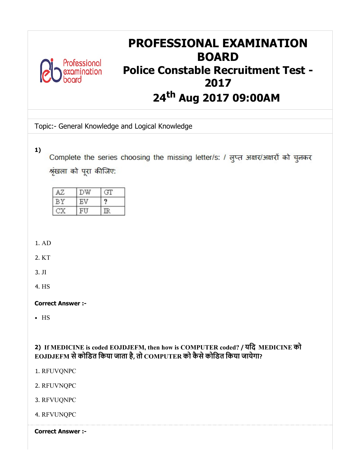

# PROFESSIONAL EXAMINATION BOARD Police Constable Recruitment Test - 2017 24<sup>th</sup> Aug 2017 09:00AM

Topic:- General Knowledge and Logical Knowledge

1)

Complete the series choosing the missing letter/s: / लुप्त अक्षर/अक्षरों को चुनकर श्रृंखला को पूरा कीजिए:

1. AD

2. KT

3. JI

4. HS

Correct Answer :-

HS

2) If MEDICINE is coded EOJDJEFM, then how is COMPUTER coded? / यिद MEDICINE को EOJDJEFM सेकोिडत िकया जाता है, तो COMPUTER को कैसेकोिडत िकया जायेगा?

1. RFUVQNPC

2. RFUVNQPC

3. RFVUQNPC

4. RFVUNQPC

Correct Answer :-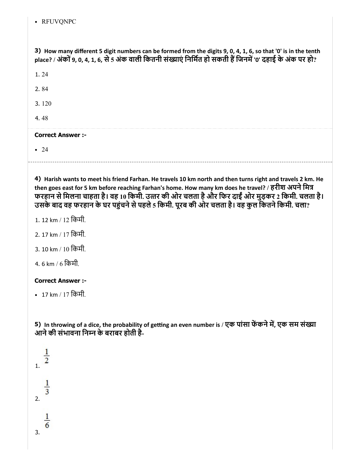RFUVQNPC

3) How many different 5 digit numbers can be formed from the digits 9, 0, 4, 1, 6, so that '0' is in the tenth place? / अंकों 9, 0, 4, 1, 6, से 5 अंक वाली कितनी संख्याएं निर्मित हो सकती हैं जिनमें '0' दहाई के अंक पर हो?

1. 24

2. 84

3. 120

4. 48

# Correct Answer :-

• 24

4) Harish wants to meet his friend Farhan. He travels 10 km north and then turns right and travels 2 km. He then goes east for 5 km before reaching Farhan's home. How many km does he travel? / हरीश अपने मित्र फरहान से मिलना चाहता है। वह 10 किमी. उत्तर की ओर चलता है और फिर दाईं ओर मुड़कर 2 किमी. चलता है। उसके बाद वह फरहान के घर पहुंचने से पहले 5 किमी. पूरब की ओर चलता है। वह कुल कितने किमी. चला?

- 1. 12 km / 12 िकमी.
- 2. 17 km / 17 िकमी.
- 3. 10 km / 10 िकमी.
- 4. 6 km / 6 िकमी.

# Correct Answer :-

• 17 km / 17 किमी.

5) In throwing of a dice, the probability of getting an even number is / एक पासा फेकने में, एक सम संख्या आने की संभावना निम्न के बराबर होती है-

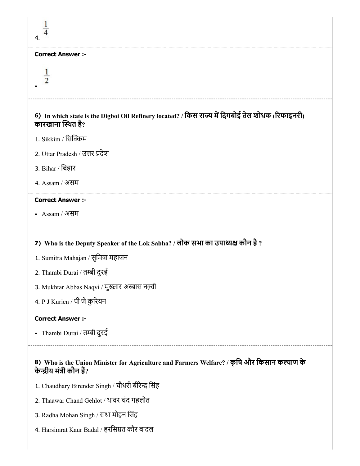| <b>Correct Answer :-</b> |
|--------------------------|
|                          |
|                          |
|                          |

# 6) In which state is the Digboi Oil Refinery located? / किस राज्य में दिगबोई तेल शोधक (रिफाइनरी) कारखाना स्थित है?

1. Sikkim / सिक्किम

 $\mathbf{1}$ 

- 2. Uttar Pradesh / उत्तर प्रदेश
- 3. Bihar / िबहार
- 4. Assam / असम

# Correct Answer :-

Assam / असम

# 7) Who is the Deputy Speaker of the Lok Sabha? / लोक सभा का उपा कौन है?

- 1. Sumitra Mahajan / सुमित्रा महाजन
- 2. Thambi Durai / तम्बी दुरई
- 3. Mukhtar Abbas Naqvi / मुख्तार अब्बास नक़्वी
- 4. P J Kurien / पी जेकुरयन

# Correct Answer :-

• Thambi Durai / तम्बी दुरई

# 8) Who is the Union Minister for Agriculture and Farmers Welfare? / कृषि और किसान कल्याण के केन्द्रीय मंत्री कौन हैं?

- 1. Chaudhary Birender Singh / चौधरी बीरेन्द्र सिंह
- 2. Thaawar Chand Gehlot / थावर चंद गहलोत
- 3. Radha Mohan Singh / राधा मोहन िसंह
- 4. Harsimrat Kaur Badal / हरिसत कौर बादल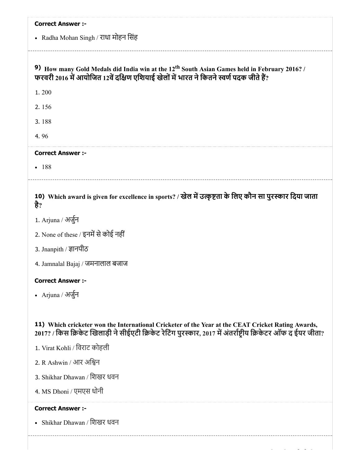| <b>Correct Answer :-</b><br>• Radha Mohan Singh / राधा मोहन सिंह                                                                                                                                                   |
|--------------------------------------------------------------------------------------------------------------------------------------------------------------------------------------------------------------------|
| 9) How many Gold Medals did India win at the 12 <sup>th</sup> South Asian Games held in February 2016? /<br>फरवरी 2016 में आयोजित 12वें दक्षिण एशियाई खेलों में भारत ने कितने स्वर्ण पदक जीते हैं?                 |
| 1.200                                                                                                                                                                                                              |
| 2.156                                                                                                                                                                                                              |
| 3.188                                                                                                                                                                                                              |
| 4.96                                                                                                                                                                                                               |
| <b>Correct Answer :-</b>                                                                                                                                                                                           |
| $-188$                                                                                                                                                                                                             |
| 10) Which award is given for excellence in sports? / खेल में उत्कृष्टता के लिए कौन सा पुरस्कार दिया जाता<br>है?                                                                                                    |
| 1. Arjuna / अर्जुन                                                                                                                                                                                                 |
| 2. None of these / इनमें से कोई नहीं                                                                                                                                                                               |
| 3. Jnanpith / ज्ञानपीठ                                                                                                                                                                                             |
| 4. Jamnalal Bajaj / जमनालाल बजाज                                                                                                                                                                                   |
| <b>Correct Answer :-</b>                                                                                                                                                                                           |
| • Arjuna / अर्जुन                                                                                                                                                                                                  |
| 11) Which cricketer won the International Cricketer of the Year at the CEAT Cricket Rating Awards,<br>2017? / किस क्रिकेट खिलाड़ी ने सीईएटी क्रिकेट रेटिंग पुरस्कार, 2017 में अंतर्राष्टीय क्रिकेटर ऑफ द ईयर जीता? |
| 1. Virat Kohli / विराट कोहली                                                                                                                                                                                       |
| 2. R Ashwin / आर अश्विन                                                                                                                                                                                            |
| 3. Shikhar Dhawan / शिखर धवन                                                                                                                                                                                       |
| 4. MS Dhoni / एमएस धोनी                                                                                                                                                                                            |
| <b>Correct Answer :-</b>                                                                                                                                                                                           |
| • Shikhar Dhawan / शिखर धवन                                                                                                                                                                                        |
|                                                                                                                                                                                                                    |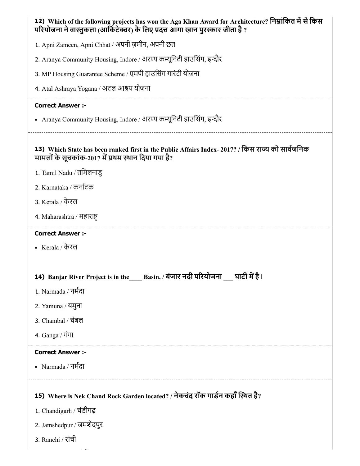| 12) Which of the following projects has won the Aga Khan Award for Architecture? निम्नांकित में से किस<br>परियोजना ने वास्तुकला (आर्किटेक्चर) के लिए प्रदत्त आगा खान पुरस्कार जीता है ? |
|-----------------------------------------------------------------------------------------------------------------------------------------------------------------------------------------|
| 1. Apni Zameen, Apni Chhat / अपनी ज़मीन, अपनी छत                                                                                                                                        |
| 2. Aranya Community Housing, Indore / अरण्य कम्यूनिटी हाउसिंग, इन्दौर                                                                                                                   |
| 3. MP Housing Guarantee Scheme / एमपी हाउसिंग गारंटी योजना                                                                                                                              |
| 4. Atal Ashraya Yogana / अटल आश्रय योजना                                                                                                                                                |
| <b>Correct Answer :-</b>                                                                                                                                                                |
| • Aranya Community Housing, Indore / अरण्य कम्यूनिटी हाउसिंग, इन्दौर                                                                                                                    |
| 13) Which State has been ranked first in the Public Affairs Index- 2017? / किस राज्य को सार्वजनिक<br>मामलों के सूचकांक-2017 में प्रथम स्थान दिया गया है?                                |
| 1. Tamil Nadu / तमिलनाडु                                                                                                                                                                |
| 2. Karnataka / कर्नाटक                                                                                                                                                                  |
| 3. Kerala / केरल                                                                                                                                                                        |
| 4. Maharashtra / महाराष्ट्र                                                                                                                                                             |
| <b>Correct Answer :-</b>                                                                                                                                                                |
| • Kerala / केरल                                                                                                                                                                         |
|                                                                                                                                                                                         |
| 14) Banjar River Project is in the____ Basin. / बंजार नदी परियोजना<br>घाटी में है।                                                                                                      |
| 1. Narmada / नर्मदा                                                                                                                                                                     |
| 2. Yamuna / यमुना                                                                                                                                                                       |
| 3. Chambal / चंबल                                                                                                                                                                       |
| 4. Ganga / गंगा                                                                                                                                                                         |
| <b>Correct Answer :-</b>                                                                                                                                                                |
| • Narmada / नर्मदा                                                                                                                                                                      |
|                                                                                                                                                                                         |
| 15) Where is Nek Chand Rock Garden located? / नेकचंद रॉक गार्डन कहाँ स्थित है?                                                                                                          |
| 1. Chandigarh / चंडीगढ़                                                                                                                                                                 |
| 2. Jamshedpur / जमशेदपुर                                                                                                                                                                |
| 3. Ranchi / रांची                                                                                                                                                                       |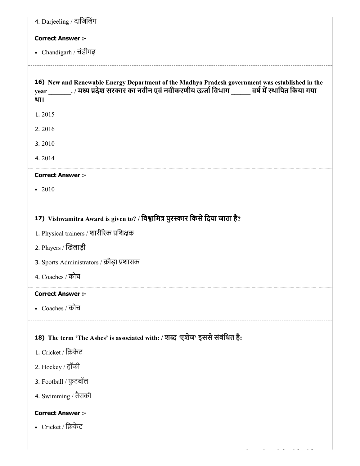| <b>Correct Answer :-</b>                                                            |                                                                                                                                                                                                            |
|-------------------------------------------------------------------------------------|------------------------------------------------------------------------------------------------------------------------------------------------------------------------------------------------------------|
| • Chandigarh / चंडीगढ़                                                              |                                                                                                                                                                                                            |
| था।                                                                                 | 16) New and Renewable Energy Department of the Madhya Pradesh government was established in the<br>year __________. / मध्य प्रदेश सरकार का नवीन एवं नवीकरणीय ऊर्जा विभाग _______ वर्ष में स्थापित किया गया |
| 1.2015                                                                              |                                                                                                                                                                                                            |
| 2.2016                                                                              |                                                                                                                                                                                                            |
| 3.2010                                                                              |                                                                                                                                                                                                            |
| 4.2014                                                                              |                                                                                                                                                                                                            |
| <b>Correct Answer:-</b>                                                             |                                                                                                                                                                                                            |
| $-2010$                                                                             |                                                                                                                                                                                                            |
| 2. Players / खिलाड़ी                                                                | 1. Physical trainers / शारीरिक प्रशिक्षक                                                                                                                                                                   |
|                                                                                     | 3. Sports Administrators / क्रीड़ा प्रशासक                                                                                                                                                                 |
| 4. Coaches / कोच<br><b>Correct Answer :-</b>                                        |                                                                                                                                                                                                            |
|                                                                                     |                                                                                                                                                                                                            |
|                                                                                     | 18) The term 'The Ashes' is associated with: / शब्द 'एशेज' इससे संबंधित है:                                                                                                                                |
|                                                                                     |                                                                                                                                                                                                            |
|                                                                                     |                                                                                                                                                                                                            |
| • Coaches / कोच<br>1. Cricket / क्रिकेट<br>2. Hockey / हॉकी<br>3. Football / फुटबॉल |                                                                                                                                                                                                            |
|                                                                                     |                                                                                                                                                                                                            |
| 4. Swimming / तैराकी<br><b>Correct Answer :-</b>                                    |                                                                                                                                                                                                            |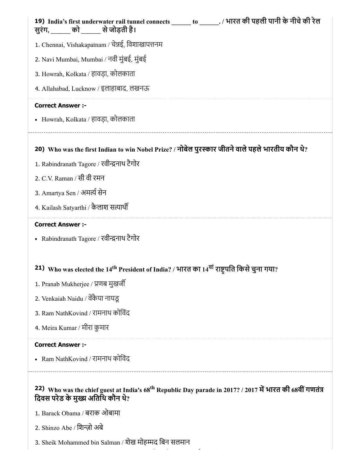| 19) India's first underwater rail tunnel connects ______ to _______. / भारत की पहली पानी के नीचे की रेल<br>सुरंग, ______ को ______ से जोड़ती है।                                                                           |
|----------------------------------------------------------------------------------------------------------------------------------------------------------------------------------------------------------------------------|
| 1. Chennai, Vishakapatnam / चेन्नई, विशाखापत्तनम                                                                                                                                                                           |
| 2. Navi Mumbai, Mumbai / नवी मुंबई, मुंबई                                                                                                                                                                                  |
| 3. Howrah, Kolkata / हावड़ा, कोलकाता                                                                                                                                                                                       |
| 4. Allahabad, Lucknow / इलाहाबाद, लखनऊ                                                                                                                                                                                     |
| <b>Correct Answer :-</b>                                                                                                                                                                                                   |
| • Howrah, Kolkata / हावड़ा, कोलकाता                                                                                                                                                                                        |
| 20) Who was the first Indian to win Nobel Prize? / नोबेल पुरस्कार जीतने वाले पहले भारतीय कौन थे?                                                                                                                           |
| 1. Rabindranath Tagore / रवीन्द्रनाथ टैगोर                                                                                                                                                                                 |
| 2. C.V. Raman / सी वी रमन                                                                                                                                                                                                  |
| 3. Amartya Sen / अमर्त्य सेन                                                                                                                                                                                               |
| 4. Kailash Satyarthi / कैलाश सत्यार्थी                                                                                                                                                                                     |
|                                                                                                                                                                                                                            |
| <b>Correct Answer :-</b>                                                                                                                                                                                                   |
| • Rabindranath Tagore / रवीन्द्रनाथ टैगोर                                                                                                                                                                                  |
|                                                                                                                                                                                                                            |
| 21) Who was elected the 14 <sup>th</sup> President of India? / भारत का 14 <sup>वा</sup> राष्ट्रपति किसे चुना गया?                                                                                                          |
| 1. Pranab Mukherjee / प्रणब मुखर्जी                                                                                                                                                                                        |
| 2. Venkaiah Naidu / वेंकैया नायडू                                                                                                                                                                                          |
| 3. Ram NathKovind / रामनाथ कोविंद                                                                                                                                                                                          |
| 4. Meira Kumar / मीरा कुमार                                                                                                                                                                                                |
| <b>Correct Answer :-</b>                                                                                                                                                                                                   |
| • Ram NathKovind / रामनाथ कोविंद                                                                                                                                                                                           |
| _____________________________<br>22) Who was the chief guest at India's 68 <sup>th</sup> Republic Day parade in 2017? / 2017 में भारत की 68वीं गणतंत्र<br>दिवस परेड के मुख्य अतिथि कौन थे?<br>1. Barack Obama / बराक ओबामा |

2. Shinzo Abe / िशज़ो अबे

3. Sheik Mohammed bin Salman / शेख मोहम्मद बिन सलमान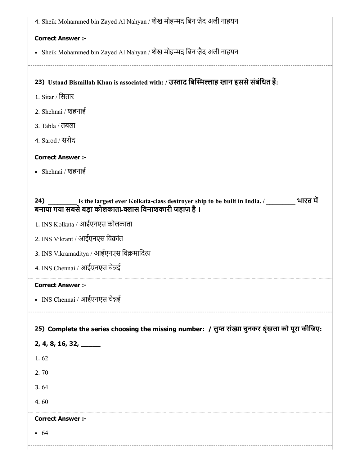| <b>Correct Answer :-</b>                    |                                                                                                                                                       |
|---------------------------------------------|-------------------------------------------------------------------------------------------------------------------------------------------------------|
|                                             | • Sheik Mohammed bin Zayed Al Nahyan / शेख मोहम्मद बिन ज़ैद अली नाहयन                                                                                 |
|                                             |                                                                                                                                                       |
|                                             | 23) Ustaad Bismillah Khan is associated with: / उस्ताद बिस्मिल्लाह खान इससे संबंधित हैं:                                                              |
| 1. Sitar / सितार                            |                                                                                                                                                       |
| 2. Shehnai / शहनाई                          |                                                                                                                                                       |
| 3. Tabla / तबला                             |                                                                                                                                                       |
| 4. Sarod / सरोद                             |                                                                                                                                                       |
| <b>Correct Answer :-</b>                    |                                                                                                                                                       |
| • Shehnai / शहनाई                           |                                                                                                                                                       |
|                                             |                                                                                                                                                       |
| 24)                                         | is the largest ever Kolkata-class destroyer ship to be built in India. / _________ भारत में<br>बनाया गया सबसे बड़ा कोलकाता-क्लास विनाशकारी जहाज़ है । |
|                                             | 1. INS Kolkata / आईएनएस कोलकाता                                                                                                                       |
|                                             | 2. INS Vikrant / आईएनएस विक्रांत                                                                                                                      |
|                                             | 3. INS Vikramaditya / आईएनएस विक्रमादित्य                                                                                                             |
|                                             | 4. INS Chennai / आईएनएस चेन्नई                                                                                                                        |
| <b>Correct Answer :-</b>                    |                                                                                                                                                       |
|                                             | • INS Chennai / आईएनएस चेन्नई                                                                                                                         |
|                                             |                                                                                                                                                       |
|                                             | 25) Complete the series choosing the missing number: / लुप्त संख्या चुनकर श्रृंखला को पूरा कीजिए:                                                     |
| $2, 4, 8, 16, 32, \underline{\hspace{1cm}}$ |                                                                                                                                                       |
| 1.62                                        |                                                                                                                                                       |
| 2.70                                        |                                                                                                                                                       |
| 3.64                                        |                                                                                                                                                       |
| 4.60                                        |                                                                                                                                                       |
| <b>Correct Answer :-</b>                    |                                                                                                                                                       |
| • 64                                        |                                                                                                                                                       |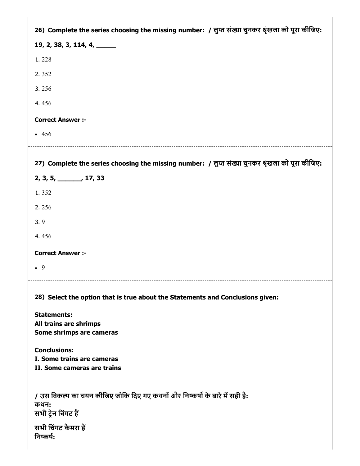| 26) Complete the series choosing the missing number: / लुप्त संख्या चुनकर श्रृंखला को पूरा कीजिए:                                               |
|-------------------------------------------------------------------------------------------------------------------------------------------------|
| 19, 2, 38, 3, 114, 4, $\_\_$                                                                                                                    |
| 1.228                                                                                                                                           |
| 2.352                                                                                                                                           |
| 3.256                                                                                                                                           |
| 4.456                                                                                                                                           |
| <b>Correct Answer :-</b>                                                                                                                        |
| $-456$                                                                                                                                          |
|                                                                                                                                                 |
| 27) Complete the series choosing the missing number: / लुप्त संख्या चुनकर श्रृंखला को पूरा कीजिए:                                               |
| 2, 3, 5, ______, 17, 33                                                                                                                         |
| 1.352                                                                                                                                           |
| 2.256                                                                                                                                           |
| 3.9                                                                                                                                             |
| 4.456                                                                                                                                           |
| <b>Correct Answer :-</b>                                                                                                                        |
| $\bullet$ 9                                                                                                                                     |
|                                                                                                                                                 |
| 28) Select the option that is true about the Statements and Conclusions given:                                                                  |
| <b>Statements:</b><br>All trains are shrimps<br>Some shrimps are cameras                                                                        |
| <b>Conclusions:</b><br>I. Some trains are cameras<br>II. Some cameras are trains                                                                |
| / उस विकल्प का चयन कीजिए जोकि दिए गए कथनों और निष्कर्षों के बारे में सही है:<br>कथन:<br>सभी ट्रेन चिंगट हैं<br>सभी चिंगट कैमरा हैं<br>निष्कर्ष: |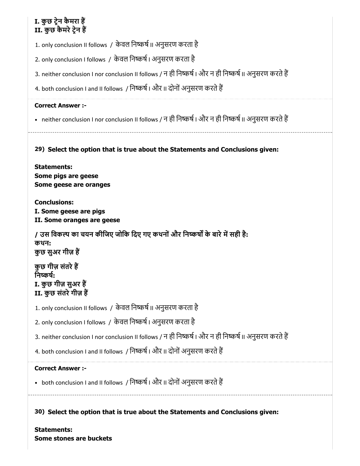# I. कुछ टेन कैमरा ह II. कुछ कैमरे ट्रेन हैं

1. only conclusion II follows / केवल निष्कर्ष II अनुसरण करता है

2. only conclusion I follows / केवल निष्कर्ष । अनुसरण करता है

3. neither conclusion I nor conclusion II follows / न ही निष्कर्ष | और न ही निष्कर्ष || अनुसरण करते हैं

4. both conclusion I and II follows / निष्कर्ष I और II दोनों अनुसरण करते हैं

# Correct Answer :-

• neither conclusion I nor conclusion II follows / न ही निष्कर्ष । और न ही निष्कर्ष II अनुसरण करते हैं

# 29) Select the option that is true about the Statements and Conclusions given:

Statements: Some pigs are geese Some geese are oranges

Conclusions: I. Some geese are pigs II. Some oranges are geese

/ उस विकल्प का चयन कीजिए जोकि दिए गए कथनों और निष्कर्षों के बारे में सही है: कथन: कुछ सुअर गीज़ ह

कुछ गीज़ संतरेह निष्कर्ष: I. कुछ गीज़ सुअर ह II. कुछ संतरे गीज़ हैं

1. only conclusion II follows / केवल निष्कर्ष II अनुसरण करता है

2. only conclusion I follows / केवल निष्कर्ष । अनुसरण करता है

3. neither conclusion I nor conclusion II follows / न ही निष्कर्ष | और न ही निष्कर्ष || अनुसरण करते हैं

4. both conclusion I and II follows / निष्कर्ष । और II दोनों अनुसरण करते हैं

# Correct Answer :-

• both conclusion I and II follows / निष्कर्ष | और II दोनों अनुसरण करते हैं

30) Select the option that is true about the Statements and Conclusions given:

Statements: Some stones are buckets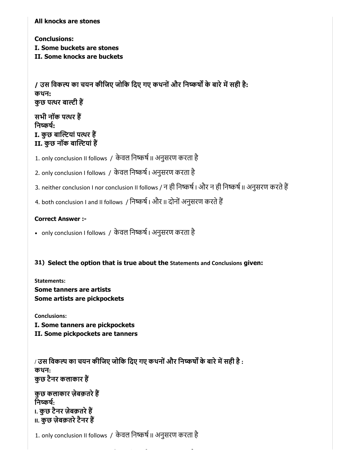All knocks are stones

Conclusions: I. Some buckets are stones II. Some knocks are buckets

/ उस विकल्प का चयन कीजिए जोकि दिए गए कथनों और निष्कर्षों के बारे में सही है: कथन: कुछ पथर बाटी ह

सभी नॉक पथर ह निष्कर्ष: I. कुछ बाल्टियां पत्थर हैं II. कुछ नॉक बाल्टियां हैं

1. only conclusion II follows / केवल निष्कर्ष II अनुसरण करता है

2. only conclusion I follows / केवल निष्कर्ष । अनुसरण करता है

3. neither conclusion I nor conclusion II follows / न ही निष्कर्ष | और न ही निष्कर्ष || अनुसरण करते हैं

4. both conclusion I and II follows / निष्कर्ष I और II दोनों अनुसरण करते हैं

# Correct Answer :-

• only conclusion I follows / केवल निष्कर्ष । अनुसरण करता है

31) Select the option that is true about the Statements and Conclusions given:

Statements: Some tanners are artists Some artists are pickpockets

Conclusions:

I. Some tanners are pickpockets

II. Some pickpockets are tanners

/ उस विकल्प का चयन कीजिए जोकि दिए गए कथनों और निष्कर्षों के बारे में सही है : कथन: कुछ टैनर कलाकार ह

कुछ कलाकार ज़ेबक़तरेह निष्कर्ष $\cdot$ I. कुछ टैनर ज़ेबक़तरेह **II. कुछ ज़ेबक़तरे टैनर हैं** 

1. only conclusion II follows / केवल निष्कर्ष II अनुसरण करता है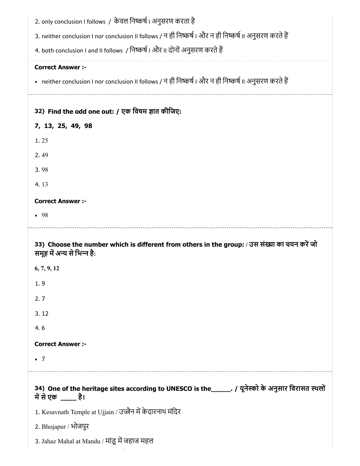| 2. only conclusion I follows / केवल निष्कर्ष । अनुसरण करता है<br>3. neither conclusion I nor conclusion II follows / न ही निष्कर्ष   और न ही निष्कर्ष    अनुसरण करते हैं |
|--------------------------------------------------------------------------------------------------------------------------------------------------------------------------|
| 4. both conclusion I and II follows / निष्कर्ष । और II दोनों अनुसरण करते हैं                                                                                             |
| <b>Correct Answer :-</b>                                                                                                                                                 |
| • neither conclusion I nor conclusion II follows / न ही निष्कर्ष । और न ही निष्कर्ष II अनुसरण करते हैं                                                                   |
| 32) Find the odd one out: / एक विषम ज्ञात कीजिए:                                                                                                                         |
| 7, 13, 25, 49, 98                                                                                                                                                        |
| 1.25                                                                                                                                                                     |
| 2.49                                                                                                                                                                     |
| 3.98                                                                                                                                                                     |
| 4.13                                                                                                                                                                     |
| <b>Correct Answer :-</b>                                                                                                                                                 |
| • 98                                                                                                                                                                     |
|                                                                                                                                                                          |
| 33) Choose the number which is different from others in the group: / उस संख्या का चयन करें जो<br>समूह में अन्य से भिन्न है:                                              |
| 6, 7, 9, 12                                                                                                                                                              |
| 1.9                                                                                                                                                                      |
| 2.7                                                                                                                                                                      |
| 3.12                                                                                                                                                                     |
| 4.6                                                                                                                                                                      |
| <b>Correct Answer :-</b>                                                                                                                                                 |
| $\bullet$ 7                                                                                                                                                              |
| 34) One of the heritage sites according to UNESCO is the ______. / यूनेस्को के अनुसार विरासत स्थलों<br>में से एक _____ है।                                               |
| 1. Kesavnath Temple at Ujjain / उज्जैन में केदारनाथ मंदिर                                                                                                                |
| 2. Bhojapur / भोजपुर                                                                                                                                                     |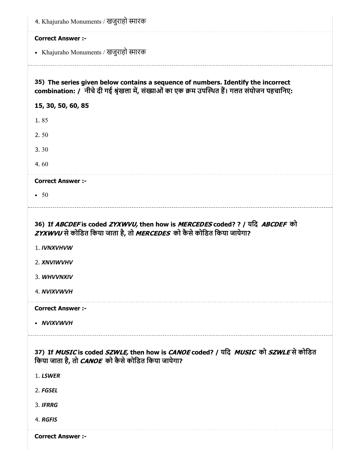| 4. Khajuraho Monuments / खजुराहो स्मारक                                                                                                                                                                                                       |
|-----------------------------------------------------------------------------------------------------------------------------------------------------------------------------------------------------------------------------------------------|
| <b>Correct Answer :-</b>                                                                                                                                                                                                                      |
| • Khajuraho Monuments / खजुराहो स्मारक                                                                                                                                                                                                        |
| 35) The series given below contains a sequence of numbers. Identify the incorrect<br>combination: / नीचे दी गई श्रृंखला में, संख्याओं का एक क्रम उपस्थित हैं। गलत संयोजन पहचानिए:                                                             |
| 15, 30, 50, 60, 85                                                                                                                                                                                                                            |
| 1.85                                                                                                                                                                                                                                          |
| 2.50                                                                                                                                                                                                                                          |
| 3.30                                                                                                                                                                                                                                          |
| 4.60                                                                                                                                                                                                                                          |
| <b>Correct Answer :-</b>                                                                                                                                                                                                                      |
| $\cdot$ 50                                                                                                                                                                                                                                    |
| 36) If <i>ABCDEF</i> is coded <i>ZYXWVU</i> , then how is <i>MERCEDES</i> coded? ? / यदि <i>ABCDEF</i> को<br>ZYXWVU से कोडित किया जाता है, तो MERCEDES को कैसे कोडित किया जायेगा?<br>1. IVNXVHVW<br>2. XNVIWVHV<br>3. WHVVNXIV<br>4. NVIXVWVH |
|                                                                                                                                                                                                                                               |
| <b>Correct Answer :-</b>                                                                                                                                                                                                                      |
| • NVIXVWVH                                                                                                                                                                                                                                    |
| 37) If MUSIC is coded SZWLE, then how is CANOE coded? / यदि MUSIC को SZWLE से कोडित<br>किया जाता है, तो CANOE को कैसे कोडित किया जायेगा?<br>1. LSWER                                                                                          |
| 2. FGSEL                                                                                                                                                                                                                                      |
| 3. IFRRG                                                                                                                                                                                                                                      |
| 4. RGFIS                                                                                                                                                                                                                                      |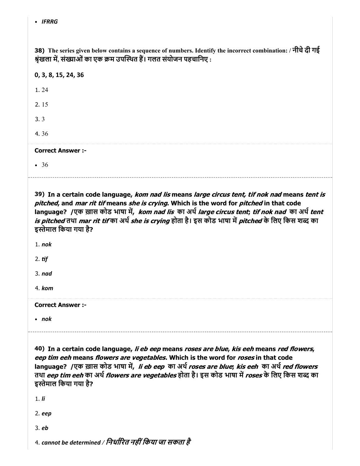38) The series given below contains a sequence of numbers. Identify the incorrect combination: / नीचेदी गई श्रृंखला में, संख्याओं का एक क्रम उपस्थित हैं। गलत संयोजन पहचानिए :

| 0, 3, 8, 15, 24, 36      |  |  |
|--------------------------|--|--|
| 1.24                     |  |  |
| 2.15                     |  |  |
| 3.3                      |  |  |
| 4.36                     |  |  |
| <b>Correct Answer :-</b> |  |  |
| $\bullet$ 36             |  |  |
|                          |  |  |

39) In a certain code language, *kom nad lis* means *large circus tent, tif nok nad* means *tent is* pitched, and mar rit tif means she is crying. Which is the word for pitched in that code language? /एक ख़ास कोड भाषा में, *kom nad lis का अर्थ large circus tent; tif nok nad का अर्थ tent is pitched* तथा *mar rit tif* का अर्थ *she is crying* होता है। इस कोड भाषा में *pitched* के लिए किस शब्द का इस्तेमाल किया गया है?

1. nok

2.  $t$ if

3. nad

4. kom

Correct Answer :-

• nok

40) In a certain code language, *li eb eep* means *roses are blue, kis eeh* means *red flowers*, eep tim eeh means flowers are vegetables. Which is the word for roses in that code language? /एक ख़ास कोड भाषा में, li eb eep का अर्थ roses are blue; kis eeh का अर्थ red flowers तथा *eep tim eeh* का अर्थ *flowers are vegetables* होता है। इस कोड भाषा में *roses* के लिए किस शब्द का इस्तेमाल किया गया है?

1. li

2. eep

3. eb

4. cannot be determined / निर्धारित नहीं किया जा सकता है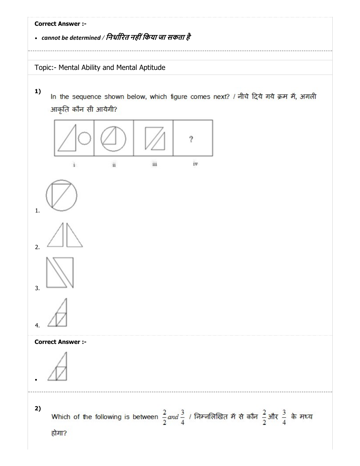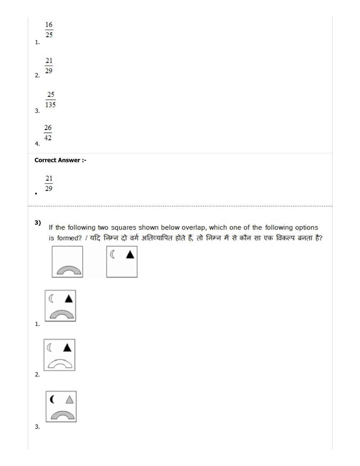| 16<br>$\overline{25}$                                                                                                                                                                       |
|---------------------------------------------------------------------------------------------------------------------------------------------------------------------------------------------|
| $\mathbf{1}$ .                                                                                                                                                                              |
| 21<br>29<br>2.                                                                                                                                                                              |
| 25<br>135<br>3.                                                                                                                                                                             |
| 26<br>42<br>4.                                                                                                                                                                              |
| <b>Correct Answer:-</b>                                                                                                                                                                     |
| 21<br>29                                                                                                                                                                                    |
| 3)<br>If the following two squares shown below overlap, which one of the following options<br>is formed? / यदि निम्न दो वर्ग अतिव्यापित होते हैं, तो निम्न में से कौन सा एक विकल्प बनता है? |
| $\mathbb{C}$ $\blacktriangle$<br>$\mathbf{1}$ .                                                                                                                                             |
| I A<br>2.                                                                                                                                                                                   |
| $\overline{C}$<br>3.                                                                                                                                                                        |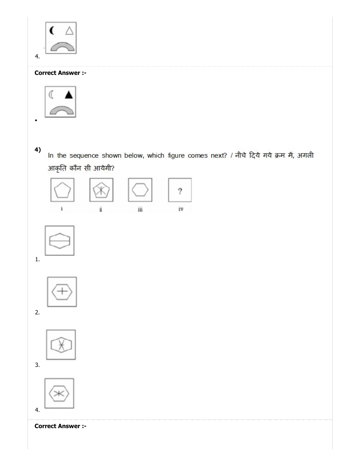

# Correct Answer :-



4)

In the sequence shown below, which figure comes next? / नीचे दिये गये क्रम में, अगली आकृति कौन सी आयेगी?





1.



2.



3.



Correct Answer :-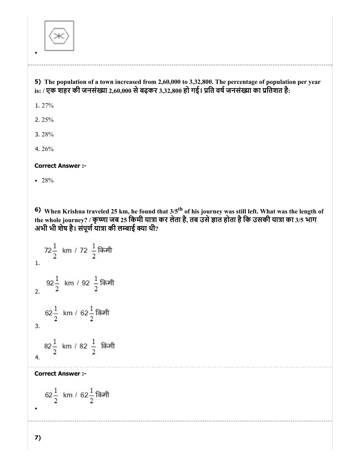

# 5) The population of a town increased from 2,60,000 to 3,32,800. The percentage of population per year is: / एक शहर की जनसंख्या 2,60,000 से बढ़कर 3,32,800 हो गई। प्रति वर्ष जनसंख्या का प्रतिशत है:

1. 27%

2. 25%

3. 28%

4. 26%

Correct Answer :-

 $• 28%$ 

6) When Krishna traveled 25 km, he found that  $3/5$ <sup>th</sup> of his journey was still left. What was the length of the whole journey? / कृष्णा जब 25 किमी यात्रा कर लेता है, तब उसे ज्ञात होता है कि उसकी यात्रा का 3/5 भाग अभी भी शेष है। संपूर्ण यात्रा की लम्बाई क्या थी?

72 $\frac{1}{2}$  km / 72  $\frac{1}{2}$  किमी 1.  $92\frac{1}{2}$  km / 92  $\frac{1}{2}$  किमी 2. 62 $\frac{1}{2}$  km / 62 $\frac{1}{2}$ किमी 3. 82 $\frac{1}{2}$  km / 82  $\frac{1}{2}$  किमी 4.

Correct Answer :-

$$
62\frac{1}{2}
$$
 km /  $62\frac{1}{2}$  किमी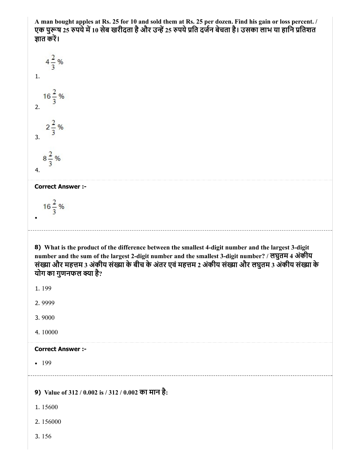A man bought apples at Rs. 25 for 10 and sold them at Rs. 25 per dozen. Find his gain or loss percent. / एक पुरूष 25 रुपये में 10 सेब खरीदता है और उन्हें 25 रुपये प्रति दर्जन बेचता है। उसका लाभ या हानि प्रतिशत ज्ञात करें।



#### Correct Answer :-

 $16\frac{2}{3}$ %

8) What is the product of the difference between the smallest 4-digit number and the largest 3-digit number and the sum of the largest 2-digit number and the smallest 3-digit number? / लघुतम 4 अंकीय संख्या और महत्तम 3 अंकीय संख्या के बीच के अंतर एवं महत्तम 2 अंकीय संख्या और लघुतम 3 अंकीय संख्या के योग का गुणनफल क्या है?

1. 199

2. 9999

3. 9000

4. 10000

#### Correct Answer :-

 $-199$ 

9) Value of 312 / 0.002 is / 312 / 0.002 का मान है:

- 1. 15600
- 2. 156000
- 3. 156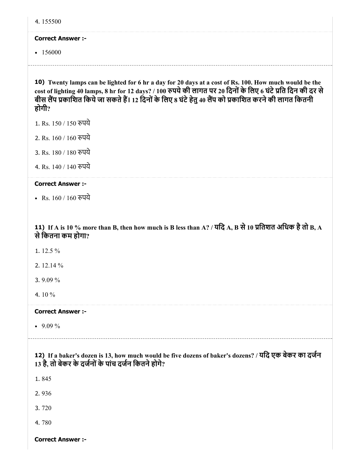| 4.155500                                                                                                                                                                                                                                                                                                                          |
|-----------------------------------------------------------------------------------------------------------------------------------------------------------------------------------------------------------------------------------------------------------------------------------------------------------------------------------|
| <b>Correct Answer :-</b>                                                                                                                                                                                                                                                                                                          |
| $-156000$                                                                                                                                                                                                                                                                                                                         |
| 10) Twenty lamps can be lighted for 6 hr a day for 20 days at a cost of Rs. 100. How much would be the<br>cost of lighting 40 lamps, 8 hr for 12 days? / 100 रुपये की लागत पर 20 दिनों के लिए 6 घंटे प्रति दिन की दर से<br>बीस लैंप प्रकाशित किये जा सकते हैं। 12 दिनों के लिए 8 घंटे हेतु 40 लैंप को प्रकाशित करने की लागत कितनी |
| होगी?                                                                                                                                                                                                                                                                                                                             |
| 1. Rs. 150 / 150 रुपये                                                                                                                                                                                                                                                                                                            |
| 2. Rs. 160 / 160 रुपये                                                                                                                                                                                                                                                                                                            |
| 3. Rs. 180 / 180 रुपये                                                                                                                                                                                                                                                                                                            |
| 4. Rs. 140 / 140 रुपये                                                                                                                                                                                                                                                                                                            |
| <b>Correct Answer :-</b>                                                                                                                                                                                                                                                                                                          |
| • Rs. 160 / 160 रुपये                                                                                                                                                                                                                                                                                                             |
| 11) If A is 10 % more than B, then how much is B less than A? / यदि A, B से 10 प्रतिशत अधिक है तो B, A<br>से कितना कम होगा?<br>1. 12.5 %<br>2. $12.14\%$<br>3.9.09%                                                                                                                                                               |
| 4.10%                                                                                                                                                                                                                                                                                                                             |
| <b>Correct Answer:-</b>                                                                                                                                                                                                                                                                                                           |
| • $9.09\%$                                                                                                                                                                                                                                                                                                                        |
| 12) If a baker's dozen is 13, how much would be five dozens of baker's dozens? / यदि एक बेकर का दर्जन<br>13 है, तो बेकर के दर्जनों के पांच दर्जन कितने होगे?                                                                                                                                                                      |
| 1.845                                                                                                                                                                                                                                                                                                                             |
| 2.936                                                                                                                                                                                                                                                                                                                             |
| 3.720                                                                                                                                                                                                                                                                                                                             |
| 4.780                                                                                                                                                                                                                                                                                                                             |
| <b>Correct Answer :-</b>                                                                                                                                                                                                                                                                                                          |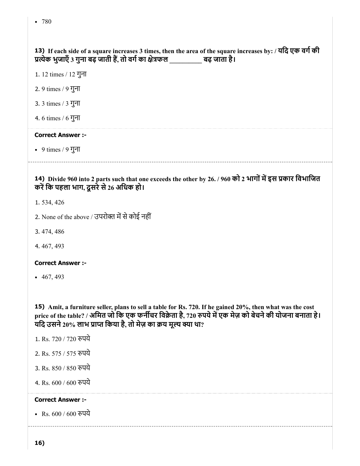# 13) If each side of a square increases 3 times, then the area of the square increases by: / यदि एक वर्ग की प्रत्येक भुजाएँ 3 गुना बढ़ जाती हैं, तो वर्ग का क्षेत्रफल \_\_\_\_\_\_\_\_\_\_\_ बढ़ जाता है।

1. 12 times / 12 गुना

- 2. 9 times / 9 गुना
- 3. 3 times / 3 गुना
- 4. 6 times / 6 गुना

#### Correct Answer :-

9 times / 9 गुना

#### 14) Divide 960 into 2 parts such that one exceeds the other by 26. / 960 को 2 भागोंमइस कार िवभािजत करें कि पहला भाग, दूसरे से 26 अधिक हो।

- 1. 534, 426
- 2. None of the above / उपरोक्त में से कोई नहीं
- 3. 474, 486
- 4. 467, 493

#### Correct Answer :-

 $-467, 493$ 

15) Amit, a furniture seller, plans to sell a table for Rs. 720. If he gained 20%, then what was the cost price of the table? / अमित जो कि एक फर्नीचर विक्रेता है, 720 रुपये में एक मेज़ को बेचने की योजना बनाता हे। यदि उसने 20% लाभ प्राप्त किया है, तो मेज़ का क्रय मूल्य क्या था?

- 1. Rs. 720 / 720 रुपये
- 2. Rs. 575 / 575 पये
- 3. Rs. 850 / 850 पये
- 4. Rs. 600 / 600 पये

#### Correct Answer :-

• Rs. 600 / 600 रुपये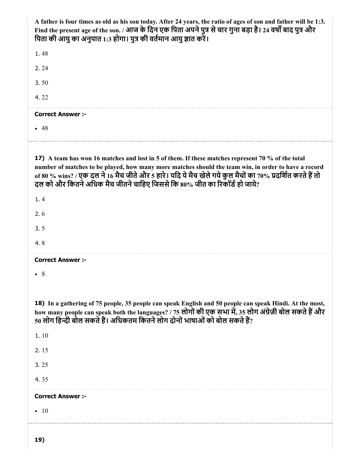| A father is four times as old as his son today. After 24 years, the ratio of ages of son and father will be 1:3.<br>Find the present age of the son. / आज के दिन एक पिता अपने पुत्र से चार गुना बड़ा है। 24 वर्षों बाद पुत्र और<br>पिता की आयु का अनुपात 1:3 होगा। पुत्र की वर्तमान आयु ज्ञात करें।                                                                                                 |
|-----------------------------------------------------------------------------------------------------------------------------------------------------------------------------------------------------------------------------------------------------------------------------------------------------------------------------------------------------------------------------------------------------|
| 1.48                                                                                                                                                                                                                                                                                                                                                                                                |
| 2.24                                                                                                                                                                                                                                                                                                                                                                                                |
| 3.50                                                                                                                                                                                                                                                                                                                                                                                                |
| 4.22                                                                                                                                                                                                                                                                                                                                                                                                |
| <b>Correct Answer :-</b>                                                                                                                                                                                                                                                                                                                                                                            |
| $-48$                                                                                                                                                                                                                                                                                                                                                                                               |
| 17) A team has won 16 matches and lost in 5 of them. If these matches represent 70 % of the total<br>number of matches to be played, how many more matches should the team win, in order to have a record<br>of 80 % wins? / एक दल ने 16 मैच जीते और 5 हारे। यदि ये मैच खेले गये कुल मैचों का 70% प्रदर्शित करते हैं तो<br>दल को और कितने अधिक मैच जीतने चाहिए जिससे कि 80% जीत का रिकॉर्ड हो जाये? |
| 1.4                                                                                                                                                                                                                                                                                                                                                                                                 |
| 2.6                                                                                                                                                                                                                                                                                                                                                                                                 |
| 3.5                                                                                                                                                                                                                                                                                                                                                                                                 |
| 4.8                                                                                                                                                                                                                                                                                                                                                                                                 |
| <b>Correct Answer :-</b>                                                                                                                                                                                                                                                                                                                                                                            |
| $\bullet$ 8                                                                                                                                                                                                                                                                                                                                                                                         |
| 18) In a gathering of 75 people, 35 people can speak English and 50 people can speak Hindi. At the most,<br>how many people can speak both the languages? / 75 लोगों की एक सभा में, 35 लोग अंग्रेज़ी बोल सकते हैं और<br>50 लोग हिन्दी बोल सकते हैं। अधिकतम कितने लोग दोनों भाषाओं को बोल सकते हैं?                                                                                                  |
| 1.10                                                                                                                                                                                                                                                                                                                                                                                                |
| 2.15                                                                                                                                                                                                                                                                                                                                                                                                |
| 3.25                                                                                                                                                                                                                                                                                                                                                                                                |
| 4.35                                                                                                                                                                                                                                                                                                                                                                                                |
| <b>Correct Answer :-</b>                                                                                                                                                                                                                                                                                                                                                                            |
| $\bullet$ 10                                                                                                                                                                                                                                                                                                                                                                                        |
| 19)                                                                                                                                                                                                                                                                                                                                                                                                 |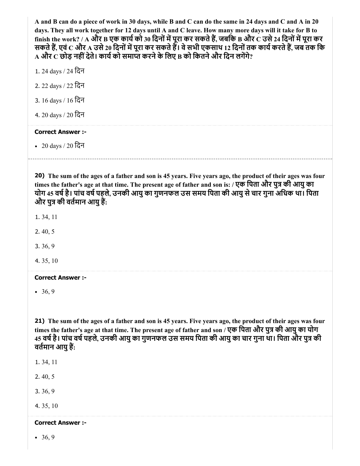A and B can do a piece of work in 30 days, while B and C can do the same in 24 days and C and A in 20 days. They all work together for 12 days until A and C leave. How many more days will it take for B to finish the work? / A और B एक कार्य को 30 दिनों में पूरा कर सकते हैं, जबकि B और  $\rm C$  उसे 24 दिनों में पूरा कर सकते हैं, एवं  $\bf C$  और  $\bf A$  उसे 20 दिनों में पूरा कर सकते हैं। वे सभी एकसाथ 12 दिनों तक कार्य करते हैं, जब तक कि  $\bf A$  और  $\bf C$  छोड़ नहीं देते। कार्य को समाप्त करने के लिए B को कितने और दिन लगेंगे?

- 1. 24 days / 24 िदन
- 2. 22 days / 22 िदन
- 3. 16 days / 16 िदन
- 4. 20 days / 20 िदन

#### Correct Answer :-

20 days / 20 िदन

20) The sum of the ages of a father and son is 45 years. Five years ago, the product of their ages was four times the father's age at that time. The present age of father and son is: / एक पिता और पुत्र की आयु का योग 45 वर्ष है। पांच वर्ष पहले, उनकी आयु का गुणनफल उस समय पिता की आयु से चार गुना अधिक था। पिता और पुत्र की वर्तमान आयु हैं:

- 1. 34, 11
- 2. 40, 5
- 3. 36, 9
- 4. 35, 10

#### Correct Answer :-

 $• 36, 9$ 

21) The sum of the ages of a father and son is 45 years. Five years ago, the product of their ages was four times the father's age at that time. The present age of father and son / एक पिता और पुत्र की आयु का योग 45 वर्ष है। पांच वर्ष पहले, उनकी आयु का गुणनफल उस समय पिता की आयु का चार गुना था। पिता और पुत्र की वतमान आयुह:

- 1. 34, 11
- 2. 40, 5
- 3. 36, 9

4. 35, 10

#### Correct Answer :-

 $• 36, 9$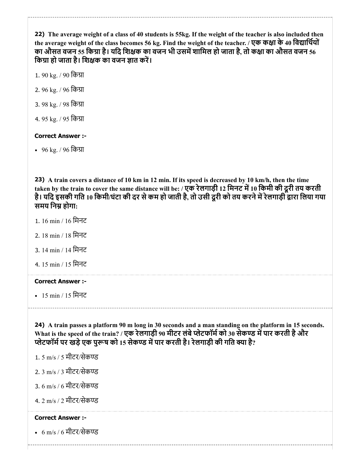22) The average weight of a class of 40 students is 55kg. If the weight of the teacher is also included then the average weight of the class becomes 56 kg. Find the weight of the teacher. / एक कक्षा के 40 विद्यार्थियों का औसत वजन 55 किग्रा है। यदि शिक्षक का वजन भी उसमें शामिल हो जाता है, तो कक्षा का औसत वजन 56 किग्रा हो जाता है। शिक्षक का वजन ज्ञात करें।

- 1. 90 kg. / 90 किग्रा
- 2. 96 kg. / 96 िका
- 3. 98 kg. / 98 किग्रा
- 4. 95 kg. / 95 किग्रा

# Correct Answer :-

96 kg. / 96 िका

23) A train covers a distance of 10 km in 12 min. If its speed is decreased by 10 km/h, then the time taken by the train to cover the same distance will be: / एक रेलगाड़ी 12 मिनट में 10 किमी की दूरी तय करती है। यदि इसकी गति 10 किमी/घंटा की दर से कम हो जाती है, तो उसी दूरी को तय करने में रेलगाड़ी द्वारा लिया गया समय निम्र होगा:

- 1. 16 min / 16 िमनट
- 2. 18 min / 18 िमनट
- 3. 14 min / 14 िमनट
- 4. 15 min / 15 िमनट

Correct Answer :-

15 min / 15 िमनट

24) A train passes a platform 90 m long in 30 seconds and a man standing on the platform in 15 seconds. What is the speed of the train? / एक रेलगाड़ी 90 मीटर लंबे प्लेटफॉर्म को 30 सेकण्ड में पार करती है और प्लेटफॉर्म पर खड़े एक पुरूष को 15 सेकण्ड में पार करती है। रेलगाड़ी की गति क्या है?

- 1. 5 m/s / 5 मीटर/सेक
- 2. 3 m/s / 3 मीटर/सेक
- 3. 6 m/s / 6 मीटर/सेक
- 4. 2 m/s / 2 मीटर/सेक

# Correct Answer :-

6 m/s / 6 मीटर/सेक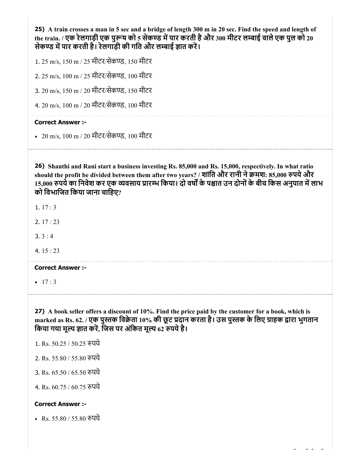25) A train crosses a man in 5 sec and a bridge of length 300 m in 20 sec. Find the speed and length of the train. / एक रेलगाड़ी एक पुरूष को 5 सेकण्ड में पार करती है और 300 मीटर लम्बाई वाले एक पुल को 20 सेकण्ड में पार करती है। रेलगाड़ी की गति और लम्बाई ज्ञात करें।

1. 25 m/s, 150 m / 25 मीटर/सेकण्ड, 150 मीटर

2. 25 m/s, 100 m / 25 मीटर/सेकण्ड, 100 मीटर

3. 20 m/s, 150 m / 20 मीटर/सेकण्ड. 150 मीटर

4. 20 m/s, 100 m / 20 मीटर/सेकण्ड, 100 मीटर

#### Correct Answer :-

• 20 m/s, 100 m / 20 मीटर/सेकण्ड, 100 मीटर

26) Shanthi and Rani start a business investing Rs. 85,000 and Rs. 15,000, respectively. In what ratio should the profit be divided between them after two years? / शांति और रानी ने क्रमश: 85,000 रुपये और 15,000 रुपये का निवेश कर एक व्यवसाय प्रारम्भ किया। दो वर्षों के पश्चात उन दोनों के बीच किस अनुपात में लाभ को िवभािजत िकया जाना चािहए?

1. 17 : 3

2. 17 : 23

 $3.3 : 4$ 

4. 15 : 23

Correct Answer :-

 $-17:3$ 

27) A book seller offers a discount of 10%. Find the price paid by the customer for a book, which is marked as Rs. 62. / एक पुस्तक विक्रेता 10% की छूट प्रदान करता है। उस पुस्तक के लिए ग्राहक द्वारा भुगतान किया गया मूल्य ज्ञात करें, जिस पर अंकित मूल्य 62 रुपये है।

1. Rs. 50.25 / 50.25 पये

2. Rs. 55.80 / 55.80 पये

3. Rs. 65.50 / 65.50 पये

4. Rs. 60.75 / 60.75 पये

#### Correct Answer :-

• Rs. 55.80 / 55.80 रुपये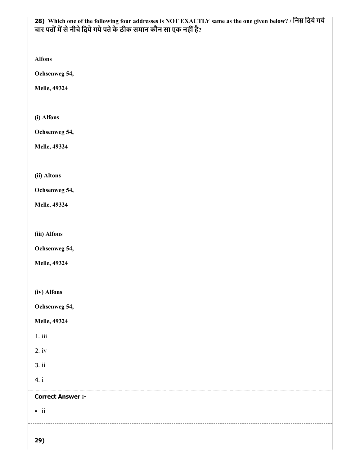# 28) Which one of the following four addresses is NOT EXACTLY same as the one given below? / निम्न दिये गये चार पतों में से नीचे दिये गये पते के ठीक समान कौन सा एक नहीं है?

Alfons

Ochsenweg 54,

Melle, 49324

(i) Alfons

Ochsenweg 54,

Melle, 49324

(ii) Altons

Ochsenweg 54,

Melle, 49324

(iii) Alfons

Ochsenweg 54,

Melle, 49324

(iv) Alfons

Ochsenweg 54,

Melle, 49324

1. iii

2. iv

3. ii

4. i

Correct Answer :-

 $\bullet$  ii

29)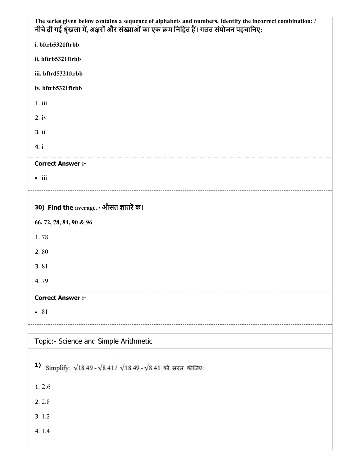| The series given below contains a sequence of alphabets and numbers. Identify the incorrect combination: /<br>नीचे दी गई श्रृंखला में, अक्षरों और संख्याओं का एक क्रम निहित हैं। गलत संयोजन पहचानिए: |
|------------------------------------------------------------------------------------------------------------------------------------------------------------------------------------------------------|
| i. bftrb5321ftrbb                                                                                                                                                                                    |
| ii. bftrb5321ftrbb                                                                                                                                                                                   |
| iii. bftrd5321ftrbb                                                                                                                                                                                  |
| iv. bftrb5321ftrbb                                                                                                                                                                                   |
| 1. iii                                                                                                                                                                                               |
| $2.$ iv                                                                                                                                                                                              |
| 3. ii                                                                                                                                                                                                |
| 4. i                                                                                                                                                                                                 |
| <b>Correct Answer :-</b>                                                                                                                                                                             |
| $\bullet$ iii                                                                                                                                                                                        |
|                                                                                                                                                                                                      |
| 30) Find the average. / औसत ज्ञातरें क।                                                                                                                                                              |
| 66, 72, 78, 84, 90 & 96                                                                                                                                                                              |
| 1.78                                                                                                                                                                                                 |
| 2.80                                                                                                                                                                                                 |
| 3.81                                                                                                                                                                                                 |
| 4.79                                                                                                                                                                                                 |
| <b>Correct Answer :-</b>                                                                                                                                                                             |
| $\bullet$ 81                                                                                                                                                                                         |
|                                                                                                                                                                                                      |
| Topic:- Science and Simple Arithmetic                                                                                                                                                                |
| 1)<br>Simplify: $\sqrt{18.49} - \sqrt{8.41}/\sqrt{18.49} - \sqrt{8.41}$ को सरल कीजिए:                                                                                                                |
| 1.2.6                                                                                                                                                                                                |
| 2.2.8                                                                                                                                                                                                |
| 3.1.2                                                                                                                                                                                                |
| 4.1.4                                                                                                                                                                                                |
|                                                                                                                                                                                                      |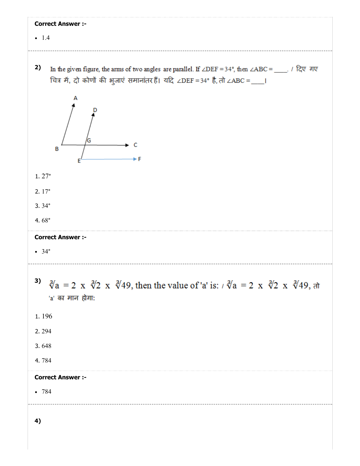| <b>Correct Answer :-</b><br>$-1.4$                                                                                                                                                         |
|--------------------------------------------------------------------------------------------------------------------------------------------------------------------------------------------|
| 2)<br>In the given figure, the arms of two angles are parallel. If ∠DEF = 34°, then ∠ABC = ____. / दिए गए<br>चित्र में, दो कोणों की भुजाएं समानांतर हैं। यदि ∠DEF = 34° है, तो ∠ABC = ___। |
| B                                                                                                                                                                                          |
| 1.27°                                                                                                                                                                                      |
| 2.17°                                                                                                                                                                                      |
| $3.34^{\circ}$                                                                                                                                                                             |
| 4.68 $^{\circ}$                                                                                                                                                                            |
| <b>Correct Answer :-</b><br>• 34°                                                                                                                                                          |
| 3)<br>$\sqrt[3]{a}$ = 2 x $\sqrt[3]{2}$ x $\sqrt[3]{49}$ , then the value of 'a' is: $\sqrt[3]{a}$ = 2 x $\sqrt[3]{2}$ x $\sqrt[3]{49}$ , $\pi$<br>'a' का मान होगा:                        |
| 1.196                                                                                                                                                                                      |
| 2.294                                                                                                                                                                                      |
| 3.648                                                                                                                                                                                      |
| 4.784                                                                                                                                                                                      |
| <b>Correct Answer :-</b>                                                                                                                                                                   |
| $-784$                                                                                                                                                                                     |
| 4)                                                                                                                                                                                         |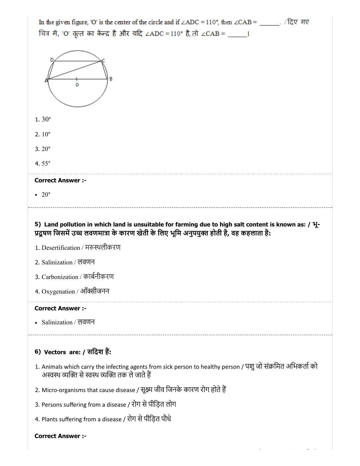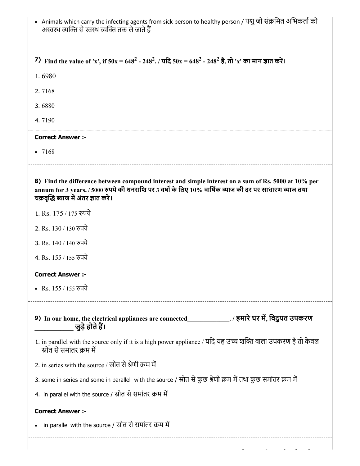| • Animals which carry the infecting agents from sick person to healthy person / पशु जो संक्रमित अभिकर्ता को<br>अस्वस्थ व्यक्ति से स्वस्थ व्यक्ति तक ले जाते हैं                                                                                           |  |  |  |  |  |  |
|-----------------------------------------------------------------------------------------------------------------------------------------------------------------------------------------------------------------------------------------------------------|--|--|--|--|--|--|
| 7) Find the value of 'x', if $50x = 648^2 - 248^2$ . / यदि $50x = 648^2 - 248^2$ है, तो 'x' का मान ज्ञात करें।                                                                                                                                            |  |  |  |  |  |  |
| 1.6980                                                                                                                                                                                                                                                    |  |  |  |  |  |  |
| 2.7168                                                                                                                                                                                                                                                    |  |  |  |  |  |  |
| 3.6880                                                                                                                                                                                                                                                    |  |  |  |  |  |  |
| 4.7190                                                                                                                                                                                                                                                    |  |  |  |  |  |  |
| <b>Correct Answer:-</b>                                                                                                                                                                                                                                   |  |  |  |  |  |  |
| $-7168$                                                                                                                                                                                                                                                   |  |  |  |  |  |  |
| 8) Find the difference between compound interest and simple interest on a sum of Rs. 5000 at 10% per<br>annum for 3 years. / 5000 रुपये की धनराशि पर 3 वर्षों के लिए 10% वार्षिक ब्याज की दर पर साधारण ब्याज तथा<br>चक्रवृद्धि ब्याज में अंतर ज्ञात करें। |  |  |  |  |  |  |
| 1. Rs. 175 / 175 रुपये                                                                                                                                                                                                                                    |  |  |  |  |  |  |
| 2. Rs. 130 / 130 रुपये                                                                                                                                                                                                                                    |  |  |  |  |  |  |
| 3. Rs. 140 / 140 रुपये                                                                                                                                                                                                                                    |  |  |  |  |  |  |
| 4. Rs. 155 / 155 रुपये                                                                                                                                                                                                                                    |  |  |  |  |  |  |
| <b>Correct Answer:-</b>                                                                                                                                                                                                                                   |  |  |  |  |  |  |
| • Rs. 155 / 155 रुपये                                                                                                                                                                                                                                     |  |  |  |  |  |  |
| 9) In our home, the electrical appliances are connected______________./ हमारे घर में, विदुयत उपकरण<br>जुड़े होते हैं।                                                                                                                                     |  |  |  |  |  |  |
| 1. in parallel with the source only if it is a high power appliance / यदि यह उच्च शक्ति वाला उपकरण है तो केवल<br>स्रोत से समांतर क्रम में                                                                                                                 |  |  |  |  |  |  |
| 2. in series with the source / स्रोत से श्रेणी क्रम में                                                                                                                                                                                                   |  |  |  |  |  |  |
| 3. some in series and some in parallel with the source / स्रोत से कुछ श्रेणी क्रम में तथा कुछ समांतर क्रम में                                                                                                                                             |  |  |  |  |  |  |
| 4. in parallel with the source / स्रोत से समांतर क्रम में                                                                                                                                                                                                 |  |  |  |  |  |  |
| <b>Correct Answer :-</b>                                                                                                                                                                                                                                  |  |  |  |  |  |  |
| in parallel with the source / स्रोत से समांतर क्रम में                                                                                                                                                                                                    |  |  |  |  |  |  |
|                                                                                                                                                                                                                                                           |  |  |  |  |  |  |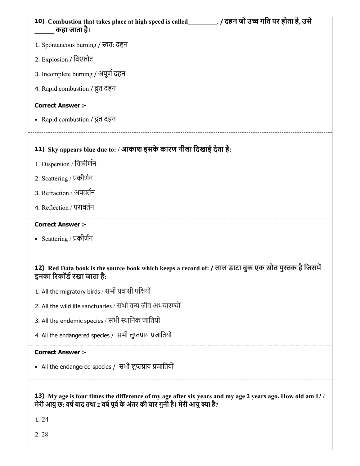| 10) Combustion that takes place at high speed is called (दहन जो उच्च गति पर होता है, उसे<br>कहा जाता है।                            |
|-------------------------------------------------------------------------------------------------------------------------------------|
| 1. Spontaneous burning / स्वत: दहन                                                                                                  |
| 2. Explosion / विस्फोट                                                                                                              |
| 3. Incomplete burning / अपूर्ण दहन                                                                                                  |
| 4. Rapid combustion / द्रुत दहन                                                                                                     |
| <b>Correct Answer :-</b>                                                                                                            |
| • Rapid combustion / दूत दहन                                                                                                        |
| 11) Sky appears blue due to: / आकाश इसके कारण नीला दिखाई देता है:                                                                   |
| 1. Dispersion / विकीर्णन                                                                                                            |
| 2. Scattering / प्रकीर्णन                                                                                                           |
| 3. Refraction / अपवर्तन                                                                                                             |
| 4. Reflection / परावर्तन                                                                                                            |
| <b>Correct Answer :-</b>                                                                                                            |
|                                                                                                                                     |
| • Scattering / प्रकीर्णन                                                                                                            |
| 12) Red Data book is the source book which keeps a record of: / लाल डाटा बुक एक स्रोत पुस्तक है जिसमें<br>इनका रिकॉर्ड रखा जाता है: |
| 1. All the migratory birds / सभी प्रवासी पक्षियों                                                                                   |
| 2. All the wild life sanctuaries / सभी वन्य जीव अभयारण्यों                                                                          |
| 3. All the endemic species / सभी स्थानिक जातियों                                                                                    |
| 4. All the endangered species / सभी लुप्तप्राय प्रजातियों                                                                           |
| <b>Correct Answer :-</b>                                                                                                            |
| • All the endangered species / सभी लुप्तप्राय प्रजातियों                                                                            |

1. 24

2. 28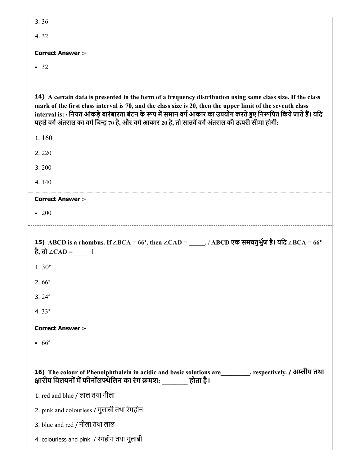4. 32

# Correct Answer :-

• 32

14) A certain data is presented in the form of a frequency distribution using same class size. If the class mark of the first class interval is 70, and the class size is 20, then the upper limit of the seventh class interval is: / नियत आंकड़े बारंबारता बंटन के रूप में समान वर्ग आकार का उपयोग करते हुए निरूपित किये जाते हैं। यदि पहले वर्ग अंतराल का वर्ग चिन्ह 70 है, और वर्ग आकार 20 है, तो सातवें वर्ग अंतराल की ऊपरी सीमा होगी:

15) ABCD is a rhombus. If ∠BCA = 66°, then ∠CAD = \_\_\_\_\_. / ABCD एक समचतुभुज है। यिद ∠BCA = 66° 16) The colour of Phenolphthalein in acidic and basic solutions are\_\_\_\_\_\_\_\_\_, respectively. / अीय तथा 1. 160 2. 220 3. 200 4. 140 Correct Answer :- • 200 है, तो ∠ $CAD = \underline{\qquad}$ । 1. 30° 2. 66° 3. 24° 4. 33° Correct Answer :-  $66°$ क्षारीय विलयनों में फीनॉलफ्थेलिन का रंग क्रमश: \_\_\_\_\_\_\_\_ होता है। 1. red and blue / लाल तथा नीला 2. pink and colourless / गुलाबी तथा रंगहीन 3. blue and red / नीला तथा लाल 4. colourless and pink / रंगहीन तथा गुलाबी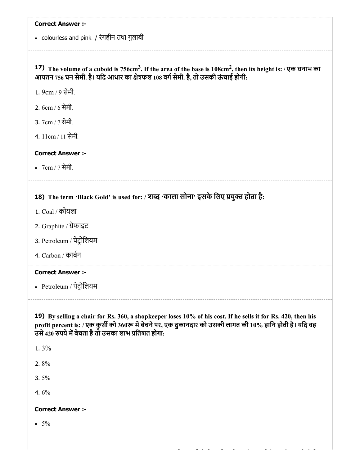colourless and pink / रंगहीन तथा गुलाबी

17) The volume of a cuboid is 756cm<sup>3</sup>. If the area of the base is  $108 \text{cm}^2$ , then its height is: / एक घनाभ का आयतन 756 घन सेमी. है। यदि आधार का क्षेत्रफल 108 वर्ग सेमी. है, तो उसकी ऊंचाई होगी:

1. 9cm / 9 सेमी.

2. 6cm / 6 सेमी.

3. 7cm / 7 सेमी.

4. 11cm / 11 सेमी.

# Correct Answer :-

7cm / 7 सेमी.

# 18) The term 'Black Gold' is used for: / शब्द 'काला सोना' इसके लिए प्रयुक्त होता है:

- 1. Coal / कोयला
- 2. Graphite / ेफाइट
- 3. Petroleum / पेटोिलयम
- 4. Carbon / काबन

# Correct Answer :-

Petroleum / पेटोिलयम

19) By selling a chair for Rs. 360, a shopkeeper loses 10% of his cost. If he sells it for Rs. 420, then his profit percent is: / एक कुर्सी को 360रू में बेचने पर, एक दुकानदार को उसकी लागत की 10% हानि होती है। यदि वह उसे 420 रुपये में बेचता है तो उसका लाभ प्रतिशत होगा:

1. 3%

2. 8%

3. 5%

4. 6%

#### Correct Answer :-

 $• 5\%$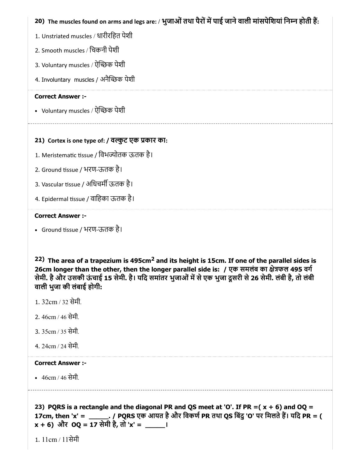# 20) The muscles found on arms and legs are: / भुजाओं तथा पैरों में पाई जाने वाली मांसपेशियां निम्न होती है:

- 1. Unstriated muscles / धारीरिहत पेशी
- 2. Smooth muscles / िचकनी पेशी
- 3. Voluntary muscles / ऐच्छिक पेशी
- 4. Involuntary muscles / अनैच्छिक पेशी

## Correct Answer :-

• Voluntary muscles / ऐन्छिक पेशी

# 21) Cortex is one type of: / वर्ल्कुट एक प्रकार का:

- 1. Meristematic tissue / विभज्योतक ऊतक है।
- 2. Ground tissue / भरण-ऊतक है।
- 3. Vascular tissue / अधिचर्मी ऊतक है।
- 4. Epidermal tissue / वाहिका ऊतक है।

#### Correct Answer :-

• Ground tissue / भरण-ऊतक है।

22) The area of a trapezium is 495cm<sup>2</sup> and its height is 15cm. If one of the parallel sides is 26cm longer than the other, then the longer parallel side is: / एक समलंब का क्षेत्रफल 495 वर्ग सेमी. है और उसकी ऊंचाई 15 सेमी. है। यदि समांतर भुजाओं में से एक भुजा दूसरी से 26 सेमी. लंबी है, तो लंबी वाली भुजा की लंबाई होगी:

- 1. 32cm / 32 सेमी.
- 2. 46cm / 46 सेमी.
- 3. 35cm / 35 सेमी.
- 4. 24cm / 24 सेमी.

# Correct Answer :-

46cm / 46 सेमी.

23) PQRS is a rectangle and the diagonal PR and QS meet at 'O'. If PR  $=(x + 6)$  and OQ = 17cm, then 'x' = \_\_\_\_\_\_\_. / PQRS एक आयत है और विकर्ण PR तथा QS बिंदु 'O' पर मिलते हैं। यदि PR = (  $x + 6$ ) और OQ = 17 सेमी है, तो 'x' =  $\frac{1}{x}$ ।

1. 11cm / 11सेमी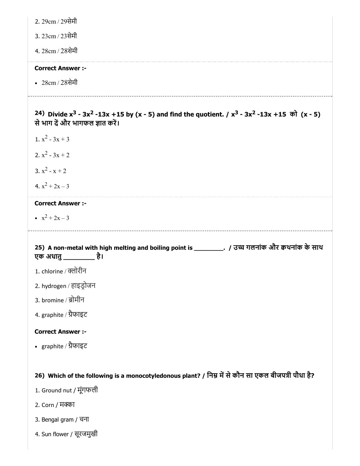2. 29cm / 29सेमी

3. 23cm / 23सेमी

4. 28cm / 28सेमी

# Correct Answer :-

28cm / 28सेमी

24) Divide x<sup>3</sup> - 3x<sup>2</sup> -13x +15 by (x - 5) and find the quotient. / x<sup>3</sup> - 3x<sup>2</sup> -13x +15 को (x - 5) से भाग दें और भागफल ज्ञात करें।

- 1.  $x^2 3x + 3$
- 2.  $x^2 3x + 2$
- 3.  $x^2 x + 2$
- 4.  $x^2 + 2x 3$

#### Correct Answer :-

 $x^2 + 2x - 3$ 

25) A non-metal with high melting and boiling point is \_\_\_\_\_\_\_\_. / उ गलनांक और थनांक के साथ एक अधातु\_\_\_\_\_\_\_\_ है।

- 1. chlorine / क्लोरीन
- 2. hydrogen / हाइडोजन
- 3. bromine / ब्रोमीन
- 4. graphite / ैफाइट

#### Correct Answer :-

graphite / ैफाइट

# 26) Which of the following is a monocotyledonous plant? / निम्न में से कौन सा एकल बीजपत्री पौधा है?

- 1. Ground nut / मूंगफली
- 2. Corn / मा
- 3. Bengal gram / चना
- 4. Sun flower / सूरजमुखी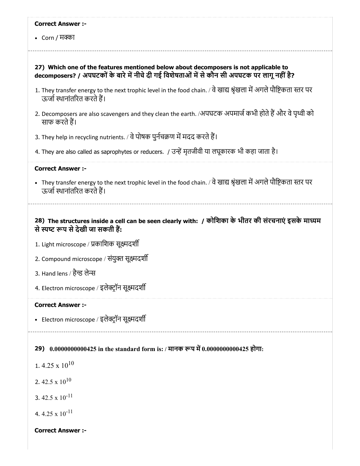#### Correct Answer :-

• Corn / मक्का

## 27) Which one of the features mentioned below about decomposers is not applicable to decomposers? / अपघटकों के बारे में नीचे दी गई विशेषताओं में से कौन सी अपघटक पर लागू नहीं है?

- 1. They transfer energy to the next trophic level in the food chain. / वे खाद्य श्रृंखला में अगले पौष्टिकता स्तर पर ऊर्जा स्थानांतरित करते हैं।
- 2. Decomposers are also scavengers and they clean the earth. /अपघटक अपमार्ज कभी होते हैं और वे पृथ्वी को साफ करतेह।
- 3. They help in recycling nutrients. / वे पोषक पुर्नचक्रण में मदद करते हैं।
- 4. They are also called as saprophytes or reducers. / उमृतजीवी या लघूकारक भी कहा जाता है।

#### Correct Answer :-

• They transfer energy to the next trophic level in the food chain. / वे खाद्य श्रृंखला में अगले पौष्टिकता स्तर पर ऊर्जा स्थानांतरित करते हैं।

# 28) The structures inside a cell can be seen clearly with: / कोिशका के भीतर की संरचनाएं इसके मायम से स्पष्ट रूप से देखी जा सकती हैं:

- 1. Light microscope / कािशक सूमदश
- 2. Compound microscope / संयुक्त सूक्ष्मदशी
- 3. Hand lens / हैन्ड लेन्स
- 4. Electron microscope / इलेक्ट्रॉन सूक्ष्मदर्शी

#### Correct Answer :-

• Electron microscope / इलेक्ट्रॉन सूक्ष्मदर्शी

#### 29) 0.0000000000425 in the standard form is: / मानक रूप में 0.0000000000425 होगा:

1.  $4.25 \times 10^{10}$ 

2. 42.5 x  $10^{10}$ 

3. 42.5 x  $10^{-11}$ 

4.  $4.25 \times 10^{-11}$ 

#### Correct Answer :-